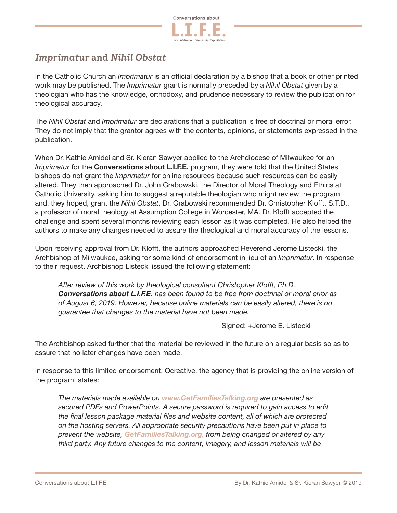

## *Imprimatur* **and** *Nihil Obstat*

In the Catholic Church an *Imprimatur* is an official declaration by a bishop that a book or other printed work may be published. The *Imprimatur* grant is normally preceded by a *Nihil Obstat* given by a theologian who has the knowledge, orthodoxy, and prudence necessary to review the publication for theological accuracy.

The *Nihil Obstat* and *Imprimatur* are declarations that a publication is free of doctrinal or moral error. They do not imply that the grantor agrees with the contents, opinions, or statements expressed in the publication.

When Dr. Kathie Amidei and Sr. Kieran Sawyer applied to the Archdiocese of Milwaukee for an *Imprimatur* for the **Conversations about L.I.F.E.** program, they were told that the United States bishops do not grant the *Imprimatur* for online resources because such resources can be easily altered. They then approached Dr. John Grabowski, the Director of Moral Theology and Ethics at Catholic University, asking him to suggest a reputable theologian who might review the program and, they hoped, grant the *Nihil Obstat*. Dr. Grabowski recommended Dr. Christopher Klofft, S.T.D., a professor of moral theology at Assumption College in Worcester, MA. Dr. Klofft accepted the challenge and spent several months reviewing each lesson as it was completed. He also helped the authors to make any changes needed to assure the theological and moral accuracy of the lessons.

Upon receiving approval from Dr. Klofft, the authors approached Reverend Jerome Listecki, the Archbishop of Milwaukee, asking for some kind of endorsement in lieu of an *Imprimatur*. In response to their request, Archbishop Listecki issued the following statement:

*After review of this work by theological consultant Christopher Klofft, Ph.D., Conversations about L.I.F.E. has been found to be free from doctrinal or moral error as of August 6, 2019. However, because online materials can be easily altered, there is no guarantee that changes to the material have not been made.* 

Signed: +Jerome E. Listecki

The Archbishop asked further that the material be reviewed in the future on a regular basis so as to assure that no later changes have been made.

In response to this limited endorsement, Ocreative, the agency that is providing the online version of the program, states:

*The materials made available on www.GetFamiliesTalking.org are presented as secured PDFs and PowerPoints. A secure password is required to gain access to edit the final lesson package material files and website content, all of which are protected on the hosting servers. All appropriate security precautions have been put in place to prevent the website, GetFamiliesTalking.org, from being changed or altered by any third party. Any future changes to the content, imagery, and lesson materials will be*